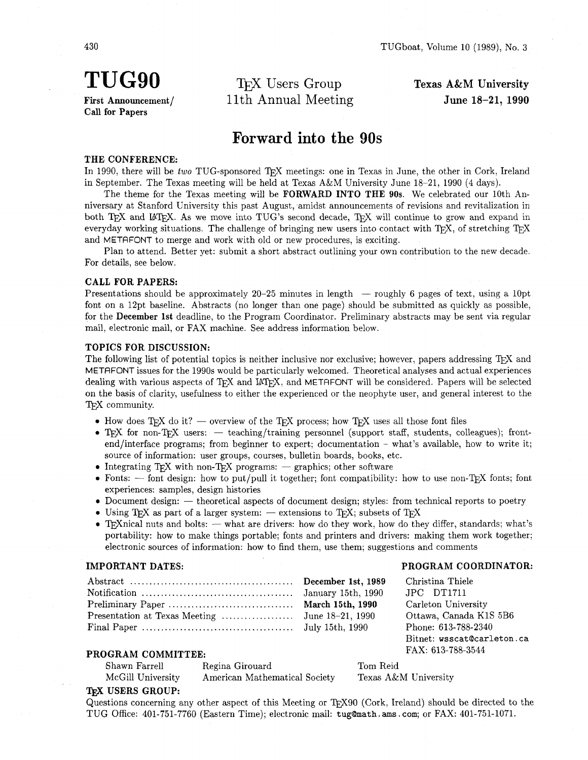TUG90 First Announcement / **Call** for Papers

T<sub>F</sub>X Users Group 11th Annual Meeting

**Texas A&M University June 18-21, 1990** 

## **Forward into the 90s**

### **THE CONFERENCE:**

In 1990, there will be *two* TUG-sponsored T<sub>F</sub>X meetings: one in Texas in June, the other in Cork, Ireland in September. The Texas meeting will be held at Texas A&M University June 18-21, 1990 (4 days).

The theme for the Texas meeting will be **FORWARD INTO THE** 90s. We celebrated our 10th Anniversary at Stanford University this past August, amidst announcements of revisions and revitalization in both TEX and LATEX. As we move into TUG's second decade, TEX will continue to grow and expand in everyday working situations. The challenge of bringing new users into contact with TFX, of stretching  $T_FX$ and METAFONT to merge and work with old or new procedures, is exciting.

Plan to attend. Better yet: submit a short abstract outlining your own contribution to the new decade. For details, see below.

### **CALL FOR PAPERS:**

Presentations should be approximately 20–25 minutes in length  $-$  roughly 6 pages of text, using a 10pt font on a 12pt baseline. Abstracts (no longer than one page) should be submitted as quickly as possible, for the December 1st deadline, to the Program Coordinator. Preliminary abstracts may be sent via regular mail, electronic mail, or FAX machine. See address information below.

### **TOPICS FOR DISCUSSION:**

The following list of potential topics is neither inclusive nor exclusive; however, papers addressing TEX and METAFONT issues for the 1990s would be particularly welcomed. Theoretical analyses and actual experiences dealing with various aspects of T<sub>F</sub>X and L<sup>AT</sup>F<sub>N</sub>, and METAFONT will be considered. Papers will be selected on the basis of clarity, usefulness to either the experienced or the neophyte user, and general interest to the T<sub>F</sub>X community.

- $\bullet$  How does T<sub>F</sub>X do it? overview of the T<sub>F</sub>X process; how T<sub>F</sub>X uses all those font files
- $\bullet$  TEX for non-TEX users:  $-$  teaching/training personnel (support staff, students, colleagues); frontend/interface programs; from beginner to expert; documentation - what's available, how to write it; source of information: user groups, courses, bulletin boards, books, etc.
- Integrating TgX with non-TgX programs:  $-$  graphics; other software
- Fonts:  $-$  font design: how to put/pull it together; font compatibility: how to use non-T<sub>E</sub>X fonts; font experiences: samples, design histories
- Document design: theoretical aspects of document design; styles: from technical reports to poetry
- Using T<sub>F</sub>X as part of a larger system:  $-$  extensions to T<sub>F</sub>X; subsets of T<sub>F</sub>X
- $\bullet$  T<sub>R</sub>Xnical nuts and bolts:  $-$  what are drivers: how do they work, how do they differ, standards; what's portability: how to make things portable; fonts and printers and drivers: making them work together;

### **IMPORTANT DATES:** PROGRAM COORDINATOR:

Bitnet: wsscat9carleton. ca

| electronic sources of information: how to find them, use them; suggestions and comments |                        |
|-----------------------------------------------------------------------------------------|------------------------|
| <b>IMPORTANT DATES:</b>                                                                 | PROGRAM COORDINAT      |
|                                                                                         | Christina Thiele       |
|                                                                                         | JPC DT1711             |
| March 15th, 1990                                                                        | Carleton University    |
|                                                                                         | Ottawa, Canada K1S 5B6 |
|                                                                                         | Phone: 613-788-2340    |

## **PROGRAM COMMITTEE:** FAX: 613-788-3544

Shawn Farrell Regina Girouard Tom Reid

McGill University American Mathematical Society Texas A&M University

### $TrX$  USERS GROUP:

Questions concerning any other aspect of this Meeting or TFX90 (Cork, Ireland) should be directed to the TUG Office: 401-751-7760 (Eastern Time); electronic mail: tug@math.ams.com; or FAX: 401-751-1071.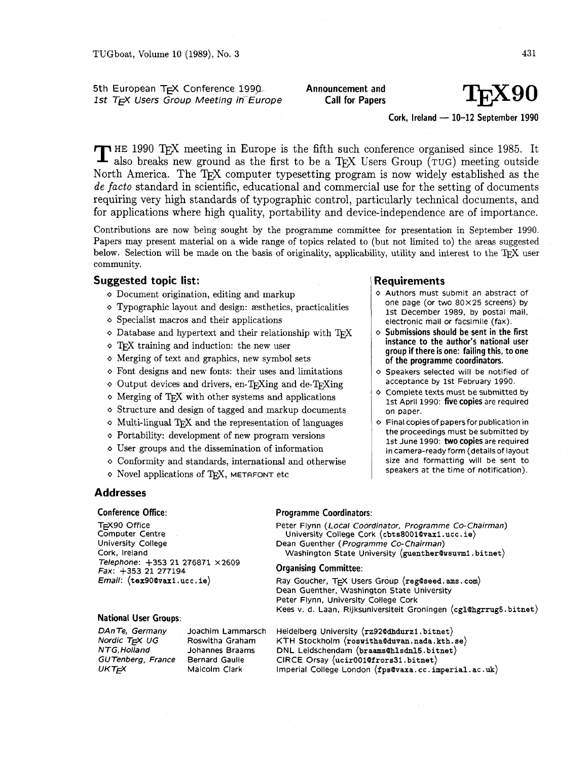### 5th European T<sub>E</sub>X Conference 1990. **Announcement and** <br>1st T<sub>E</sub>X Users Group Meeting in Europe **Call for Papers** 1st T<sub>F</sub>X Users Group Meeting in Europe

**Cork, Ireland** - **10-12 September 1990** 

HE 1990 TEX meeting in Europe is the fifth such conference organised since 1985. It also breaks new ground as the first to be a TEX Users Group (TUG) meeting outside North America. The T<sub>F</sub>X computer typesetting program is now widely established as the de facto standard in scientific, educational and commercial use for the setting of documents requiring very high standards of typographic control, particularly technical documents, and for applications where high quality, portability and device-independence are of importance.

Contributions are now being sought by the programme committee for presentation in September 1990. Papers may present material on a wide range of topics related to (but not limited to) the areas suggested below. Selection will be made on the basis of originality, applicability, utility and interest to the TFX user community.

### **Suggested topic list:**

- o Document origination, editing and markup
- $\circ$  Typographic layout and design: æsthetics, practicalities
- o Specialist macros and their applications
- $\diamond$  Database and hypertext and their relationship with TFX
- $\circ$  T<sub>F</sub>X training and induction: the new user
- **o** Merging of text and graphics, new symbol sets
- o Font designs and new fonts: their uses and limitations
- $\circ$  Output devices and drivers, en-T<sub>F</sub>Xing and de-T<sub>F</sub>Xing
- $\diamond$  Merging of TFX with other systems and applications
- o Structure and design of tagged and markup documents
- $\diamond$  Multi-lingual T<sub>E</sub>X and the representation of languages
- o Portability: development of new program versions
- o User groups and the dissemination of information
- o Conformity and standards, international and otherwise
- $\circ$  Novel applications of TFX, METAFONT etc

# **Addresses**

### **Conference Office:**

TEX90 Office Computer Centre University College Cork, Ireland Telephone: **\$353** 21 276871 x2609 Fax: **+353** 21 277194 Email: **(tex90@vaxl .ucc. ie)** 

### **National User Groups:**

Nordic T<sub>E</sub>X UG Roswitha Graham<br>NTG, Holland Johannes Braams GUTenberg, France  $UKT_F X$  Malcolm Clark

DAnTe, Germany Joachim Lammarsch Johannes Braams<br>Bernard Gaulle

### **Requirements**

- o Authors must submit an abstract of one page (or two 80x25 screens) by 1st December 1989, by postal mail, electronic mail or facsimile (fax).
- o **Submissions should be sent in the first instance to the author's national user group if there is one: failing this, to one of the programme coordinators.**
- **0** Speakers selected will be notified of acceptance by 1st February 1990.
- **0** Complete texts must be submitted by 1st April 1990: **five copies** are required on paper.
- o Final copiesof papersfor publication in the proceedings must be submitted by 1st June 1990: **two copies** are required in camera-ready form (detailsof layout size and formatting will be sent to speakers at the time of notification).

### **Programme Coordinator:**

Peter Flynn (Local Coordinator, Programme Co-Chairman) University College Cork **(cbts8001@vaxl .ucc** . **ie)**  Dean Guenther (Programme Co-Chairman) Washington State University **(guenther@usuvml. bitnet)** 

#### **Organising Committee:**

Ray Goucher, TEX Users Group (reg@seed.ams.com) Dean Guenther, Washington State University Peter Flynn, University College Cork Kees v. d. Laan. Rijksuniversiteit Groningen **(cgl@hgrrug5.bitnet)** 

Heidelberg University **(rz92@dhdurzl. bitnet)**  KTH Stockholm **(roswitha@duvan.nada.kth. se) DNL** Leidschendam **(braams@hlsdnl5. bitnet)**  ClRCE Orsay **(ucir001@frors31. bitnet)**  Imperial College London **(fps@vaxa. cc** . **imperial. ac .uk)**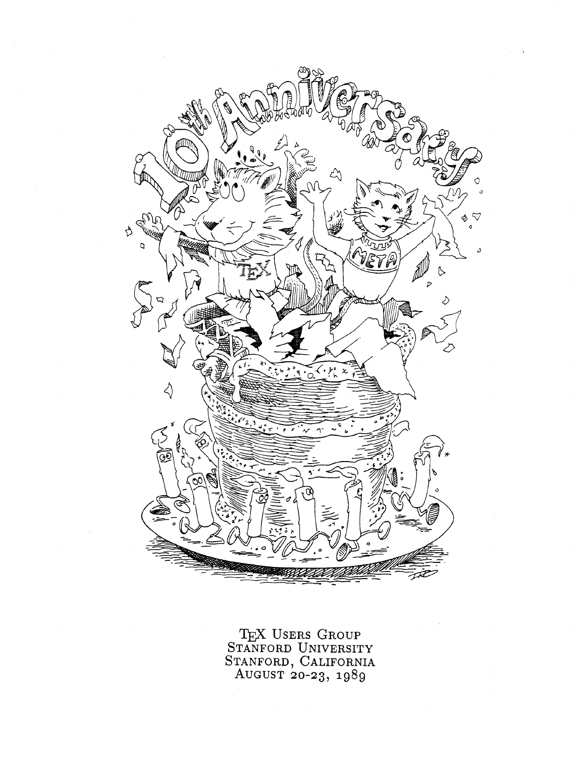

TEX USERS GROUP<br>STANFORD UNIVERSITY<br>STANFORD, CALIFORNIA<br>AUGUST 20-23, 1989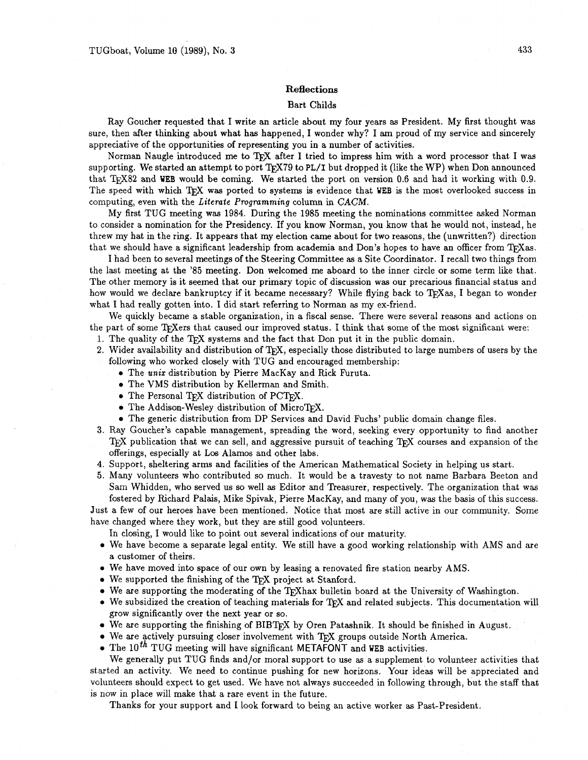### **Reflections**

### Bart Childs

Ray Goucher requested that I write an article about my four years as President. My first thought was sure, then after thinking about what has happened, I wonder why? I am proud of my service and sincerely appreciative of the opportunities of representing you in a number of activities.<br>Norman Naugle introduced me to T<sub>E</sub>X appreciative of the opportunities of representing you in a number of activities.

supporting. We started an attempt to port T<sub>E</sub>X79 to PL/I but dropped it (like the WP) when Don announced that T<sub>E</sub>X82 and WEB would be coming. We started the port on version 0.6 and had it working with 0.9. The speed with which TEX was ported to systems is evidence that **WEB** is the most overlooked success in computing, even with the Literate **Programming** column in CACM.

My first TUG meeting was 1984. During the 1985 meeting the nominations committee asked Norman to consider a nomination for the Presidency. If you know Norman, you know that he would not, instead, he threw my hat in the ring. It appears that my election came about for two reasons, the (unwritten?) direction that we should have a significant leadership from academia and Don's hopes to have an officer from TFXas.

I had been to several meetings of the Steering Committee as a Site Coordinator. I recall two things from the last meeting at the '85 meeting. Don welcomed me aboard to the inner circle or some term like that. The other memory is it seemed that our primary topic of discussion was our precarious financial status and how would we declare bankruptcy if it became necessary? While flying back to TFXas, I began to wonder what I had really gotten into. I did start referring to Norman **as** my ex-friend.

We quickly became a stable organization, in a fiscal sense. There were several reasons and actions on the part of some T<sub>F</sub>Xers that caused our improved status. I think that some of the most significant were:

1. The quality of the  $T_{F}X$  systems and the fact that Don put it in the public domain.

**2.** Wider availability and distribution of 'QX, especially those distributed to large numbers of users by the following who worked closely with TUG and encouraged membership:

- **0** The unix distribution by Pierre MacKay and Rick Furuta.
- **0** The VMS distribution by Kellerman and Smith.
- The Personal T<sub>F</sub>X distribution of PCT<sub>F</sub>X.
- . The Addison-Wesley distribution of MicroTFX.
- The generic distribution from DP Services and David Fuchs' public domain change files.
- **3.** Ray Goucher's capable management, spreading the word, seeking every opportunity to find another TEX publication that we can sell, and aggressive pursuit of teaching TEX courses and expansion of the offerings, especially at **Los** Alamos and other labs.
- 4. Support, sheltering arms and facilities of the American Mathematical Society in helping us start.
- 5. Many volunteers who contributed so much. It would be a travesty to not name Barbara Beeton and Sam Whidden, who served us so well as Editor and Treasurer, respectively. The organization that was fostered by Richard Palais, Mike Spivak, Pierre MacKay, and many of you, was the basis of this success.

Just a few of our heroes have been mentioned. Notice that most are still active in our community. Some have changed where they work, but they are still good volunteers.

In closing, I would like to point out several indications of our maturity.

- **0** We have become a separate legal entity. We still have a good working relationship with AMS and are a customer of theirs.
- **0** We have moved into space of our own by leasing a renovated fire station nearby AMS.
- **•** We supported the finishing of the TEX project at Stanford.
- We are supporting the moderating of the TFXhax bulletin board at the University of Washington.
- We subsidized the creation of teaching materials for T<sub>E</sub>X and related subjects. This documentation will grow significantly over the next year or so.
- We are supporting the finishing of BIBT<sub>F</sub>X by Oren Patashnik. It should be finished in August.
- We are actively pursuing closer involvement with TEX groups outside North America.
- The  $10^{th}$  TUG meeting will have significant METAFONT and WEB activities.

We generally put TUG finds and/or moral support to use **as** a supplement to volunteer activities that started an activity. We need to continue pushing for new horizons. Your ideas will be appreciated and volunteers should expect to get used. We have not always succeeded in following through, but the staff that is now in place will make that a rare event in the future.

Thanks for your support and I look forward to being an active worker as Past-President.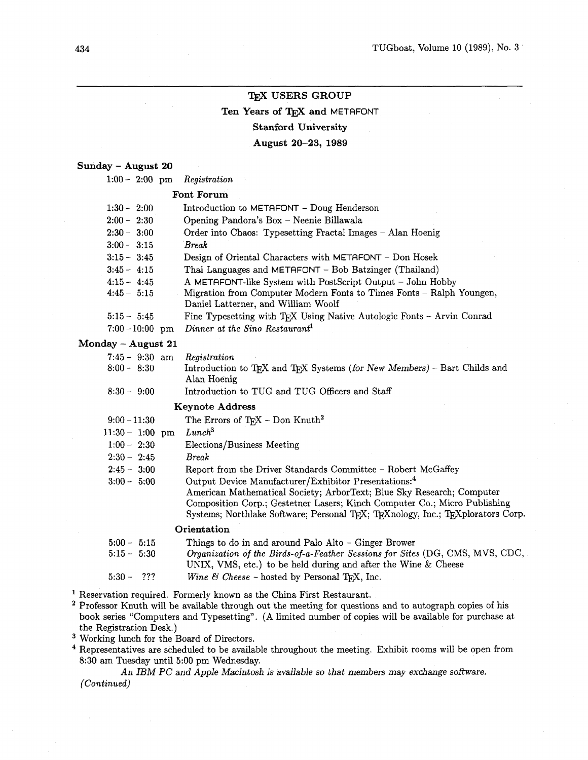## $T<sub>F</sub>X$  USERS GROUP Ten Years of TEX and METAFONT **Stanford University August 20-23, 1989**

### **Sunday** - **August <sup>20</sup>**

**1:00** - **2:00** pm *Registration* 

### **Font Forum**

| $1:30 - 2:00$     | Introduction to METAFONT – Doug Henderson                             |
|-------------------|-----------------------------------------------------------------------|
| $2:00 - 2:30$     | Opening Pandora's Box - Neenie Billawala                              |
|                   |                                                                       |
| $2:30 - 3:00$     | Order into Chaos: Typesetting Fractal Images - Alan Hoenig            |
| $3:00 - 3:15$     | Break                                                                 |
| $3:15 - 3:45$     | Design of Oriental Characters with METAFONT – Don Hosek               |
| $3:45 - 4:15$     | Thai Languages and METAFONT - Bob Batzinger (Thailand)                |
| $4:15 - 4:45$     | A METAFONT-like System with PostScript Output - John Hobby            |
| $4:45 - 5:15$     | Migration from Computer Modern Fonts to Times Fonts – Ralph Youngen,  |
|                   | Daniel Latterner, and William Woolf                                   |
| $5:15 - 5:45$     | Fine Typesetting with TFX Using Native Autologic Fonts - Arvin Conrad |
| $7:00 - 10:00$ pm | Dinner at the Sino Restaurant <sup>1</sup>                            |

### **Monday** - **August <sup>21</sup>**

| lay – August 21  |                                                                                                                  |
|------------------|------------------------------------------------------------------------------------------------------------------|
| $7:45 - 9:30$ am | Registration                                                                                                     |
| $8:00 - 8:30$    | Introduction to T <sub>F</sub> X and T <sub>F</sub> X Systems (for New Members) – Bart Childs and<br>Alan Hoenig |
| $8:30 - 9:00$    | Introduction to TUG and TUG Officers and Staff                                                                   |

### **Keynote Address**

| $9:00 - 11:30$    | The Errors of T <sub>F</sub> X - Don Knuth <sup>2</sup>                        |
|-------------------|--------------------------------------------------------------------------------|
| $11:30 - 1:00$ pm | $Lunch^3$                                                                      |
| $1:00 - 2:30$     | Elections/Business Meeting                                                     |
| $2:30 - 2:45$     | <b>Break</b>                                                                   |
| $2:45 - 3:00$     | Report from the Driver Standards Committee – Robert McGaffey                   |
| $3:00 - 5:00$     | Output Device Manufacturer/Exhibitor Presentations: <sup>4</sup>               |
|                   | American Mathematical Society; ArborText; Blue Sky Research; Computer          |
|                   | Composition Corp.; Gestetner Lasers; Kinch Computer Co.; Micro Publishing      |
|                   | Systems; Northlake Software; Personal TFX; TFXnology, Inc.; TFXplorators Corp. |
|                   | Orientation                                                                    |
| $5:00 - 5:15$     | Things to do in and around Palo Alto – Ginger Brower                           |
| $5:15 - 5:30$     | Organization of the Birds-of-a-Feather Sessions for Sites (DG, CMS, MVS, CDC,  |
|                   | UNIX, VMS, etc.) to be held during and after the Wine $\&$ Cheese              |

 $5:30 - ?$ ?? *Wine & Cheese* – hosted by Personal T<sub>F</sub>X, Inc.

<sup>1</sup> Reservation required. Formerly known as the China First Restaurant.

<sup>2</sup> Professor Knuth will be available through out the meeting for questions and to autograph copies of his book series "Computers and Typesetting". **(A** limited number of copies will be available for purchase at the Registration Desk.)

Working lunch for the Board of Directors.

Representatives are scheduled to be available throughout the meeting. Exhibit rooms will be open from **8:30** am Tuesday until **5:00** pm Wednesday.

*An IBM PC* and Apple *Macintosh is available so that members may exchange software. (Continued)*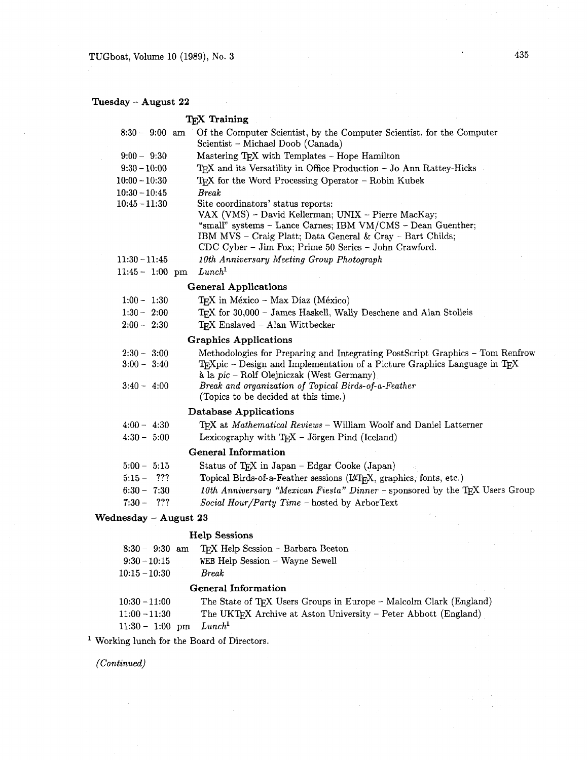## **Tuesday** - **August <sup>22</sup>**

|                                                 | <b>TEX</b> Training                                                                                                                                                                                                                                                                                             |
|-------------------------------------------------|-----------------------------------------------------------------------------------------------------------------------------------------------------------------------------------------------------------------------------------------------------------------------------------------------------------------|
| $8:30 - 9:00$ am                                | Of the Computer Scientist, by the Computer Scientist, for the Computer<br>Scientist - Michael Doob (Canada)                                                                                                                                                                                                     |
| $9:00 - 9:30$                                   | Mastering T <sub>E</sub> X with Templates - Hope Hamilton                                                                                                                                                                                                                                                       |
| $9:30 - 10:00$                                  | TEX and its Versatility in Office Production - Jo Ann Rattey-Hicks                                                                                                                                                                                                                                              |
| $10:00 - 10:30$                                 | TFX for the Word Processing Operator - Robin Kubek                                                                                                                                                                                                                                                              |
| $10:30 - 10:45$                                 | <b>Break</b>                                                                                                                                                                                                                                                                                                    |
| $10:45 - 11:30$                                 | Site coordinators' status reports:<br>VAX (VMS) - David Kellerman; UNIX - Pierre MacKay;<br>"small" systems - Lance Carnes; IBM VM/CMS - Dean Guenther;<br>IBM MVS - Craig Platt; Data General & Cray - Bart Childs;<br>CDC Cyber - Jim Fox; Prime 50 Series - John Crawford.                                   |
| $11:30 - 11:45$                                 | 10th Anniversary Meeting Group Photograph                                                                                                                                                                                                                                                                       |
| $11:45 - 1:00$ pm                               | Lunch <sup>1</sup>                                                                                                                                                                                                                                                                                              |
|                                                 | <b>General Applications</b>                                                                                                                                                                                                                                                                                     |
| $1:00 - 1:30$                                   | T <sub>E</sub> X in México - Max Díaz (México)                                                                                                                                                                                                                                                                  |
| $1:30 - 2:00$                                   | TFX for 30,000 - James Haskell, Wally Deschene and Alan Stolleis                                                                                                                                                                                                                                                |
| $2:00 - 2:30$                                   | TFX Enslaved - Alan Wittbecker                                                                                                                                                                                                                                                                                  |
|                                                 | <b>Graphics Applications</b>                                                                                                                                                                                                                                                                                    |
| $2:30 - 3:00$<br>$3:00 - 3:40$<br>$3:40 - 4:00$ | Methodologies for Preparing and Integrating PostScript Graphics - Tom Renfrow<br>$T_F X$ pic – Design and Implementation of a Picture Graphics Language in $T_F X$<br>à la pic - Rolf Olejniczak (West Germany)<br>Break and organization of Topical Birds-of-a-Feather<br>(Topics to be decided at this time.) |
|                                                 | Database Applications                                                                                                                                                                                                                                                                                           |
| $4:00 - 4:30$                                   | T <sub>F</sub> X at Mathematical Reviews - William Woolf and Daniel Latterner                                                                                                                                                                                                                                   |
| $4:30 - 5:00$                                   | Lexicography with $T_F X - J$ örgen Pind (Iceland)                                                                                                                                                                                                                                                              |
|                                                 | <b>General Information</b>                                                                                                                                                                                                                                                                                      |
| $5:00 - 5:15$                                   | Status of TEX in Japan - Edgar Cooke (Japan)                                                                                                                                                                                                                                                                    |
| $5:15 - ?$ ?                                    | Topical Birds-of-a-Feather sessions (IAT <sub>E</sub> X, graphics, fonts, etc.)                                                                                                                                                                                                                                 |
| $6:30 - 7:30$                                   | 10th Anniversary "Mexican Fiesta" Dinner - sponsored by the TEX Users Group                                                                                                                                                                                                                                     |
| $7:30 - ???$                                    | Social Hour/Party Time - hosted by ArborText                                                                                                                                                                                                                                                                    |
| Wednesday $-$ August 23                         |                                                                                                                                                                                                                                                                                                                 |
|                                                 | <b>Help Sessions</b>                                                                                                                                                                                                                                                                                            |
| $8:30 - 9:30$ am                                | TFX Help Session - Barbara Beeton                                                                                                                                                                                                                                                                               |
|                                                 |                                                                                                                                                                                                                                                                                                                 |

| ----            | $-1.7.7$ - $-2.0.7$ $-2.0.00$   |
|-----------------|---------------------------------|
| $9:30 - 10:15$  | WEB Help Session - Wavne Sewell |
| $10:15 - 10:30$ | Break                           |

### **General Information**

| $10:30 - 11:00$            | The State of TFX Users Groups in Europe - Malcolm Clark (England)           |
|----------------------------|-----------------------------------------------------------------------------|
| $11:00-11:30$              | The UKT <sub>F</sub> X Archive at Aston University – Peter Abbott (England) |
| $11:30 - 1:00$ pm $Lunch1$ |                                                                             |

 $\alpha$ 

Working lunch for the Board of Directors.

*(Continued)*